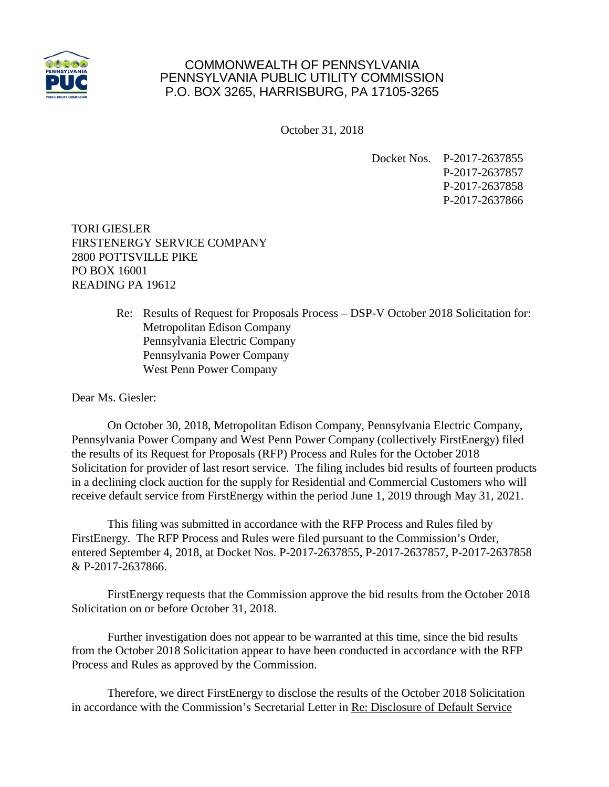

## COMMONWEALTH OF PENNSYLVANIA PENNSYLVANIA PUBLIC UTILITY COMMISSION P.O. BOX 3265, HARRISBURG, PA 17105-3265

October 31, 2018

Docket Nos. P-2017-2637855 P-2017-2637857 P-2017-2637858 P-2017-2637866

TORI GIESLER FIRSTENERGY SERVICE COMPANY 2800 POTTSVILLE PIKE PO BOX 16001 READING PA 19612

> Re: Results of Request for Proposals Process – DSP-V October 2018 Solicitation for: Metropolitan Edison Company Pennsylvania Electric Company Pennsylvania Power Company West Penn Power Company

Dear Ms. Giesler:

On October 30, 2018, Metropolitan Edison Company, Pennsylvania Electric Company, Pennsylvania Power Company and West Penn Power Company (collectively FirstEnergy) filed the results of its Request for Proposals (RFP) Process and Rules for the October 2018 Solicitation for provider of last resort service. The filing includes bid results of fourteen products in a declining clock auction for the supply for Residential and Commercial Customers who will receive default service from FirstEnergy within the period June 1, 2019 through May 31, 2021.

This filing was submitted in accordance with the RFP Process and Rules filed by FirstEnergy. The RFP Process and Rules were filed pursuant to the Commission's Order, entered September 4, 2018, at Docket Nos. P-2017-2637855, P-2017-2637857, P-2017-2637858 & P-2017-2637866.

FirstEnergy requests that the Commission approve the bid results from the October 2018 Solicitation on or before October 31, 2018.

Further investigation does not appear to be warranted at this time, since the bid results from the October 2018 Solicitation appear to have been conducted in accordance with the RFP Process and Rules as approved by the Commission.

Therefore, we direct FirstEnergy to disclose the results of the October 2018 Solicitation in accordance with the Commission's Secretarial Letter in Re: Disclosure of Default Service